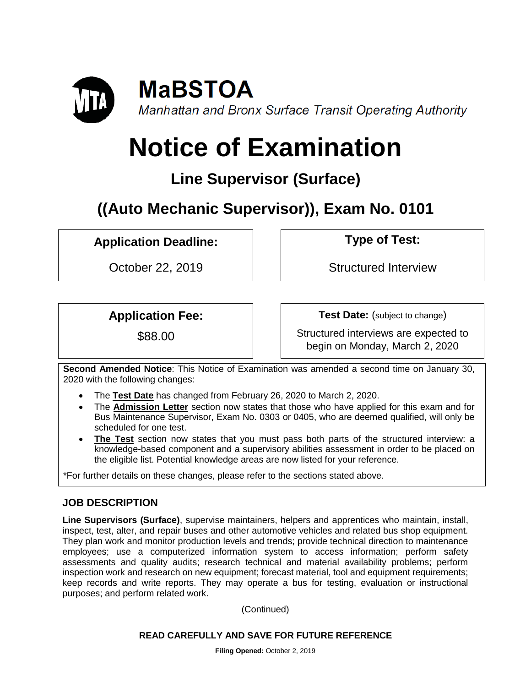

# **Notice of Examination**

## **Line Supervisor (Surface)**

**((Auto Mechanic Supervisor)), Exam No. 0101**

**Application Deadline: Type of Test:** 

October 22, 2019 | Structured Interview

## **Application Fee:**

\$88.00

**Test Date:** (subject to change)

Structured interviews are expected to begin on Monday, March 2, 2020

**Second Amended Notice**: This Notice of Examination was amended a second time on January 30, 2020 with the following changes:

- The **Test Date** has changed from February 26, 2020 to March 2, 2020.
- The **Admission Letter** section now states that those who have applied for this exam and for Bus Maintenance Supervisor, Exam No. 0303 or 0405, who are deemed qualified, will only be scheduled for one test.
- **The Test** section now states that you must pass both parts of the structured interview: a knowledge-based component and a supervisory abilities assessment in order to be placed on the eligible list. Potential knowledge areas are now listed for your reference.

\*For further details on these changes, please refer to the sections stated above.

## **JOB DESCRIPTION**

**Line Supervisors (Surface)**, supervise maintainers, helpers and apprentices who maintain, install, inspect, test, alter, and repair buses and other automotive vehicles and related bus shop equipment. They plan work and monitor production levels and trends; provide technical direction to maintenance employees; use a computerized information system to access information; perform safety assessments and quality audits; research technical and material availability problems; perform inspection work and research on new equipment; forecast material, tool and equipment requirements; keep records and write reports. They may operate a bus for testing, evaluation or instructional purposes; and perform related work.

(Continued)

## **READ CAREFULLY AND SAVE FOR FUTURE REFERENCE**

**Filing Opened:** October 2, 2019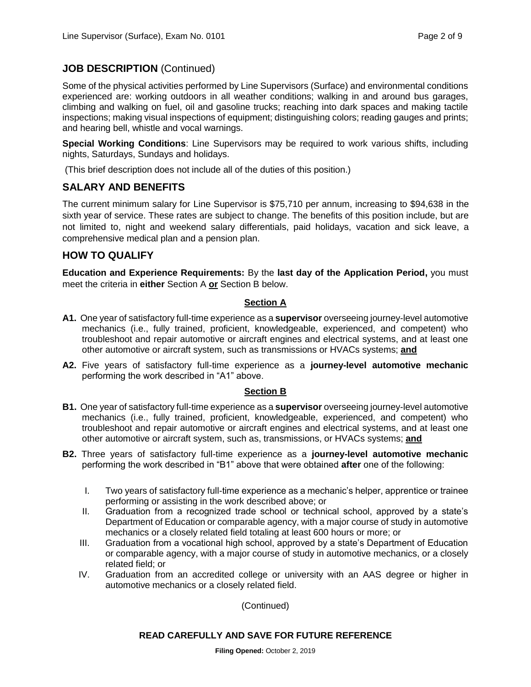## **JOB DESCRIPTION** (Continued)

Some of the physical activities performed by Line Supervisors (Surface) and environmental conditions experienced are: working outdoors in all weather conditions; walking in and around bus garages, climbing and walking on fuel, oil and gasoline trucks; reaching into dark spaces and making tactile inspections; making visual inspections of equipment; distinguishing colors; reading gauges and prints; and hearing bell, whistle and vocal warnings.

**Special Working Conditions**: Line Supervisors may be required to work various shifts, including nights, Saturdays, Sundays and holidays.

(This brief description does not include all of the duties of this position.)

## **SALARY AND BENEFITS**

The current minimum salary for Line Supervisor is \$75,710 per annum, increasing to \$94,638 in the sixth year of service. These rates are subject to change. The benefits of this position include, but are not limited to, night and weekend salary differentials, paid holidays, vacation and sick leave, a comprehensive medical plan and a pension plan.

## **HOW TO QUALIFY**

**Education and Experience Requirements:** By the **last day of the Application Period,** you must meet the criteria in **either** Section A **or** Section B below.

## **Section A**

- **A1.** One year of satisfactory full-time experience as a **supervisor** overseeing journey-level automotive mechanics (i.e., fully trained, proficient, knowledgeable, experienced, and competent) who troubleshoot and repair automotive or aircraft engines and electrical systems, and at least one other automotive or aircraft system, such as transmissions or HVACs systems; **and**
- **A2.** Five years of satisfactory full-time experience as a **journey-level automotive mechanic** performing the work described in "A1" above.

## **Section B**

- **B1.** One year of satisfactory full-time experience as a **supervisor** overseeing journey-level automotive mechanics (i.e., fully trained, proficient, knowledgeable, experienced, and competent) who troubleshoot and repair automotive or aircraft engines and electrical systems, and at least one other automotive or aircraft system, such as, transmissions, or HVACs systems; **and**
- **B2.** Three years of satisfactory full-time experience as a **journey-level automotive mechanic** performing the work described in "B1" above that were obtained **after** one of the following:
	- I. Two years of satisfactory full-time experience as a mechanic's helper, apprentice or trainee performing or assisting in the work described above; or
	- II. Graduation from a recognized trade school or technical school, approved by a state's Department of Education or comparable agency, with a major course of study in automotive mechanics or a closely related field totaling at least 600 hours or more; or
	- III. Graduation from a vocational high school, approved by a state's Department of Education or comparable agency, with a major course of study in automotive mechanics, or a closely related field; or
	- IV. Graduation from an accredited college or university with an AAS degree or higher in automotive mechanics or a closely related field.

(Continued)

#### **READ CAREFULLY AND SAVE FOR FUTURE REFERENCE**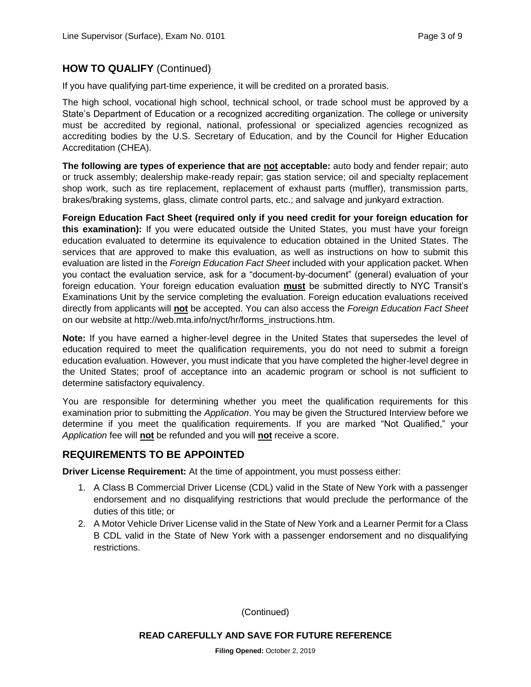## **HOW TO QUALIFY** (Continued)

If you have qualifying part-time experience, it will be credited on a prorated basis.

The high school, vocational high school, technical school, or trade school must be approved by a State's Department of Education or a recognized accrediting organization. The college or university must be accredited by regional, national, professional or specialized agencies recognized as accrediting bodies by the U.S. Secretary of Education, and by the Council for Higher Education Accreditation (CHEA).

**The following are types of experience that are not acceptable:** auto body and fender repair; auto or truck assembly; dealership make-ready repair; gas station service; oil and specialty replacement shop work, such as tire replacement, replacement of exhaust parts (muffler), transmission parts, brakes/braking systems, glass, climate control parts, etc.; and salvage and junkyard extraction.

**Foreign Education Fact Sheet (required only if you need credit for your foreign education for this examination):** If you were educated outside the United States, you must have your foreign education evaluated to determine its equivalence to education obtained in the United States. The services that are approved to make this evaluation, as well as instructions on how to submit this evaluation are listed in the *Foreign Education Fact Sheet* included with your application packet. When you contact the evaluation service, ask for a "document-by-document" (general) evaluation of your foreign education. Your foreign education evaluation **must** be submitted directly to NYC Transit's Examinations Unit by the service completing the evaluation. Foreign education evaluations received directly from applicants will **not** be accepted. You can also access the *Foreign Education Fact Sheet*  on our website at http://web.mta.info/nyct/hr/forms\_instructions.htm.

**Note:** If you have earned a higher-level degree in the United States that supersedes the level of education required to meet the qualification requirements, you do not need to submit a foreign education evaluation. However, you must indicate that you have completed the higher-level degree in the United States; proof of acceptance into an academic program or school is not sufficient to determine satisfactory equivalency.

You are responsible for determining whether you meet the qualification requirements for this examination prior to submitting the *Application*. You may be given the Structured Interview before we determine if you meet the qualification requirements. If you are marked "Not Qualified," your *Application* fee will **not** be refunded and you will **not** receive a score.

## **REQUIREMENTS TO BE APPOINTED**

**Driver License Requirement:** At the time of appointment, you must possess either:

- 1. A Class B Commercial Driver License (CDL) valid in the State of New York with a passenger endorsement and no disqualifying restrictions that would preclude the performance of the duties of this title; or
- 2. A Motor Vehicle Driver License valid in the State of New York and a Learner Permit for a Class B CDL valid in the State of New York with a passenger endorsement and no disqualifying restrictions.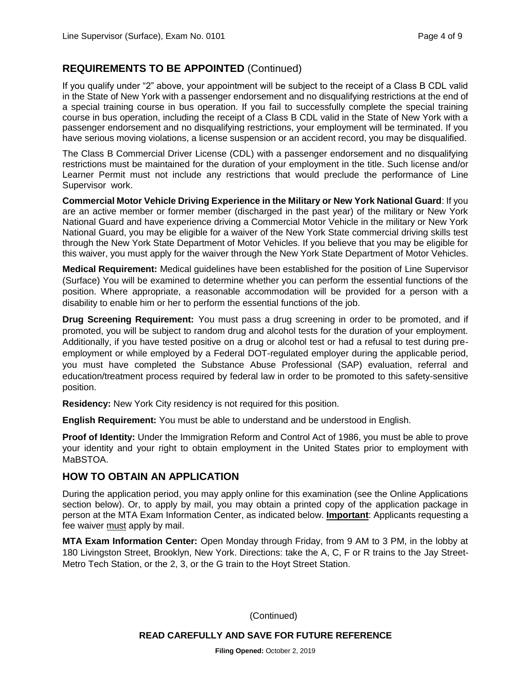## **REQUIREMENTS TO BE APPOINTED** (Continued)

If you qualify under "2" above, your appointment will be subject to the receipt of a Class B CDL valid in the State of New York with a passenger endorsement and no disqualifying restrictions at the end of a special training course in bus operation. If you fail to successfully complete the special training course in bus operation, including the receipt of a Class B CDL valid in the State of New York with a passenger endorsement and no disqualifying restrictions, your employment will be terminated. If you have serious moving violations, a license suspension or an accident record, you may be disqualified.

The Class B Commercial Driver License (CDL) with a passenger endorsement and no disqualifying restrictions must be maintained for the duration of your employment in the title. Such license and/or Learner Permit must not include any restrictions that would preclude the performance of Line Supervisor work.

**Commercial Motor Vehicle Driving Experience in the Military or New York National Guard**: If you are an active member or former member (discharged in the past year) of the military or New York National Guard and have experience driving a Commercial Motor Vehicle in the military or New York National Guard, you may be eligible for a waiver of the New York State commercial driving skills test through the New York State Department of Motor Vehicles. If you believe that you may be eligible for this waiver, you must apply for the waiver through the New York State Department of Motor Vehicles.

**Medical Requirement:** Medical guidelines have been established for the position of Line Supervisor (Surface) You will be examined to determine whether you can perform the essential functions of the position. Where appropriate, a reasonable accommodation will be provided for a person with a disability to enable him or her to perform the essential functions of the job.

**Drug Screening Requirement:** You must pass a drug screening in order to be promoted, and if promoted, you will be subject to random drug and alcohol tests for the duration of your employment. Additionally, if you have tested positive on a drug or alcohol test or had a refusal to test during preemployment or while employed by a Federal DOT-regulated employer during the applicable period, you must have completed the Substance Abuse Professional (SAP) evaluation, referral and education/treatment process required by federal law in order to be promoted to this safety-sensitive position.

**Residency:** New York City residency is not required for this position.

**English Requirement:** You must be able to understand and be understood in English.

**Proof of Identity:** Under the Immigration Reform and Control Act of 1986, you must be able to prove your identity and your right to obtain employment in the United States prior to employment with MaBSTOA.

## **HOW TO OBTAIN AN APPLICATION**

During the application period, you may apply online for this examination (see the Online Applications section below). Or, to apply by mail, you may obtain a printed copy of the application package in person at the MTA Exam Information Center, as indicated below. **Important**: Applicants requesting a fee waiver must apply by mail.

**MTA Exam Information Center:** Open Monday through Friday, from 9 AM to 3 PM, in the lobby at 180 Livingston Street, Brooklyn, New York. Directions: take the A, C, F or R trains to the Jay Street-Metro Tech Station, or the 2, 3, or the G train to the Hoyt Street Station.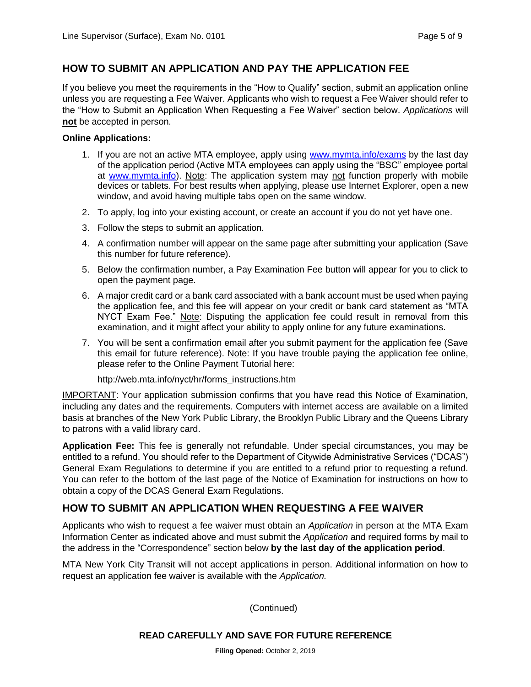## **HOW TO SUBMIT AN APPLICATION AND PAY THE APPLICATION FEE**

If you believe you meet the requirements in the "How to Qualify" section, submit an application online unless you are requesting a Fee Waiver. Applicants who wish to request a Fee Waiver should refer to the "How to Submit an Application When Requesting a Fee Waiver" section below. *Applications* will **not** be accepted in person.

#### **Online Applications:**

- 1. If you are not an active MTA employee, apply using [www.mymta.info/exams](http://www.mymta.info/exams) by the last day of the application period (Active MTA employees can apply using the "BSC" employee portal at [www.mymta.info\)](http://www.mymta.info/). Note: The application system may not function properly with mobile devices or tablets. For best results when applying, please use Internet Explorer, open a new window, and avoid having multiple tabs open on the same window.
- 2. To apply, log into your existing account, or create an account if you do not yet have one.
- 3. Follow the steps to submit an application.
- 4. A confirmation number will appear on the same page after submitting your application (Save this number for future reference).
- 5. Below the confirmation number, a Pay Examination Fee button will appear for you to click to open the payment page.
- 6. A major credit card or a bank card associated with a bank account must be used when paying the application fee, and this fee will appear on your credit or bank card statement as "MTA NYCT Exam Fee." Note: Disputing the application fee could result in removal from this examination, and it might affect your ability to apply online for any future examinations.
- 7. You will be sent a confirmation email after you submit payment for the application fee (Save this email for future reference). Note: If you have trouble paying the application fee online, please refer to the Online Payment Tutorial here:

http://web.mta.info/nyct/hr/forms\_instructions.htm

IMPORTANT: Your application submission confirms that you have read this Notice of Examination, including any dates and the requirements. Computers with internet access are available on a limited basis at branches of the New York Public Library, the Brooklyn Public Library and the Queens Library to patrons with a valid library card.

**Application Fee:** This fee is generally not refundable. Under special circumstances, you may be entitled to a refund. You should refer to the Department of Citywide Administrative Services ("DCAS") General Exam Regulations to determine if you are entitled to a refund prior to requesting a refund. You can refer to the bottom of the last page of the Notice of Examination for instructions on how to obtain a copy of the DCAS General Exam Regulations.

## **HOW TO SUBMIT AN APPLICATION WHEN REQUESTING A FEE WAIVER**

Applicants who wish to request a fee waiver must obtain an *Application* in person at the MTA Exam Information Center as indicated above and must submit the *Application* and required forms by mail to the address in the "Correspondence" section below **by the last day of the application period**.

MTA New York City Transit will not accept applications in person. Additional information on how to request an application fee waiver is available with the *Application.*

(Continued)

#### **READ CAREFULLY AND SAVE FOR FUTURE REFERENCE**

**Filing Opened:** October 2, 2019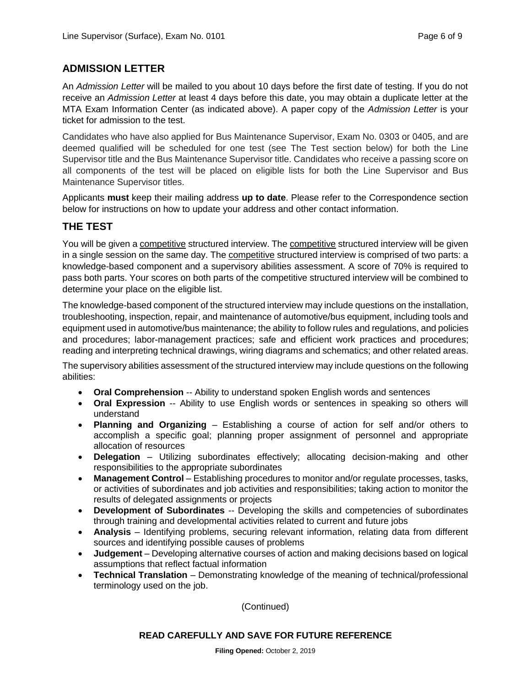## **ADMISSION LETTER**

An *Admission Letter* will be mailed to you about 10 days before the first date of testing. If you do not receive an *Admission Letter* at least 4 days before this date, you may obtain a duplicate letter at the MTA Exam Information Center (as indicated above). A paper copy of the *Admission Letter* is your ticket for admission to the test.

Candidates who have also applied for Bus Maintenance Supervisor, Exam No. 0303 or 0405, and are deemed qualified will be scheduled for one test (see The Test section below) for both the Line Supervisor title and the Bus Maintenance Supervisor title. Candidates who receive a passing score on all components of the test will be placed on eligible lists for both the Line Supervisor and Bus Maintenance Supervisor titles.

Applicants **must** keep their mailing address **up to date**. Please refer to the Correspondence section below for instructions on how to update your address and other contact information.

## **THE TEST**

You will be given a competitive structured interview. The competitive structured interview will be given in a single session on the same day. The competitive structured interview is comprised of two parts: a knowledge-based component and a supervisory abilities assessment. A score of 70% is required to pass both parts. Your scores on both parts of the competitive structured interview will be combined to determine your place on the eligible list.

The knowledge-based component of the structured interview may include questions on the installation, troubleshooting, inspection, repair, and maintenance of automotive/bus equipment, including tools and equipment used in automotive/bus maintenance; the ability to follow rules and regulations, and policies and procedures; labor-management practices; safe and efficient work practices and procedures; reading and interpreting technical drawings, wiring diagrams and schematics; and other related areas.

The supervisory abilities assessment of the structured interview may include questions on the following abilities:

- **Oral Comprehension** -- Ability to understand spoken English words and sentences
- **Oral Expression** -- Ability to use English words or sentences in speaking so others will understand
- **Planning and Organizing** Establishing a course of action for self and/or others to accomplish a specific goal; planning proper assignment of personnel and appropriate allocation of resources
- **Delegation** Utilizing subordinates effectively; allocating decision-making and other responsibilities to the appropriate subordinates
- **Management Control** Establishing procedures to monitor and/or regulate processes, tasks, or activities of subordinates and job activities and responsibilities; taking action to monitor the results of delegated assignments or projects
- **Development of Subordinates** -- Developing the skills and competencies of subordinates through training and developmental activities related to current and future jobs
- **Analysis** Identifying problems, securing relevant information, relating data from different sources and identifying possible causes of problems
- **Judgement** Developing alternative courses of action and making decisions based on logical assumptions that reflect factual information
- **Technical Translation** Demonstrating knowledge of the meaning of technical/professional terminology used on the job.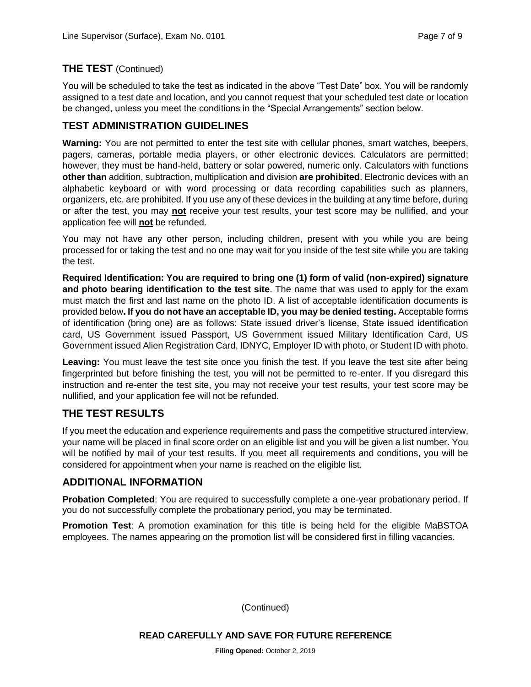## **THE TEST** (Continued)

You will be scheduled to take the test as indicated in the above "Test Date" box. You will be randomly assigned to a test date and location, and you cannot request that your scheduled test date or location be changed, unless you meet the conditions in the "Special Arrangements" section below.

## **TEST ADMINISTRATION GUIDELINES**

**Warning:** You are not permitted to enter the test site with cellular phones, smart watches, beepers, pagers, cameras, portable media players, or other electronic devices. Calculators are permitted; however, they must be hand-held, battery or solar powered, numeric only. Calculators with functions **other than** addition, subtraction, multiplication and division **are prohibited**. Electronic devices with an alphabetic keyboard or with word processing or data recording capabilities such as planners, organizers, etc. are prohibited. If you use any of these devices in the building at any time before, during or after the test, you may **not** receive your test results, your test score may be nullified, and your application fee will **not** be refunded.

You may not have any other person, including children, present with you while you are being processed for or taking the test and no one may wait for you inside of the test site while you are taking the test.

**Required Identification: You are required to bring one (1) form of valid (non-expired) signature and photo bearing identification to the test site**. The name that was used to apply for the exam must match the first and last name on the photo ID. A list of acceptable identification documents is provided below**. If you do not have an acceptable ID, you may be denied testing.** Acceptable forms of identification (bring one) are as follows: State issued driver's license, State issued identification card, US Government issued Passport, US Government issued Military Identification Card, US Government issued Alien Registration Card, IDNYC, Employer ID with photo, or Student ID with photo.

Leaving: You must leave the test site once you finish the test. If you leave the test site after being fingerprinted but before finishing the test, you will not be permitted to re-enter. If you disregard this instruction and re-enter the test site, you may not receive your test results, your test score may be nullified, and your application fee will not be refunded.

## **THE TEST RESULTS**

If you meet the education and experience requirements and pass the competitive structured interview, your name will be placed in final score order on an eligible list and you will be given a list number. You will be notified by mail of your test results. If you meet all requirements and conditions, you will be considered for appointment when your name is reached on the eligible list.

## **ADDITIONAL INFORMATION**

**Probation Completed**: You are required to successfully complete a one-year probationary period. If you do not successfully complete the probationary period, you may be terminated.

**Promotion Test**: A promotion examination for this title is being held for the eligible MaBSTOA employees. The names appearing on the promotion list will be considered first in filling vacancies.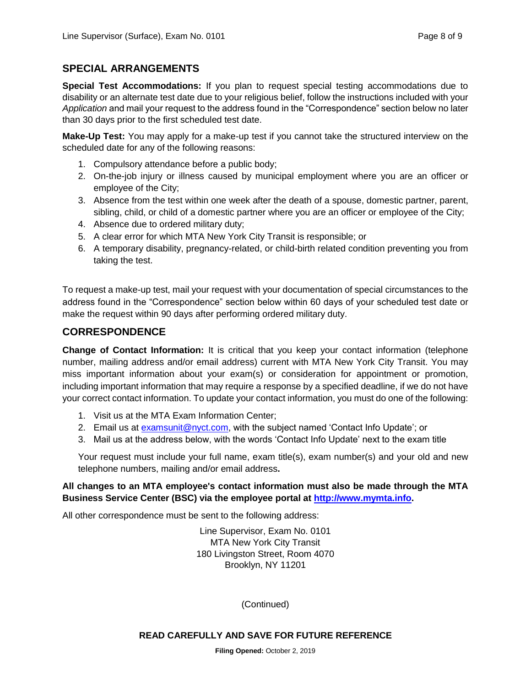## **SPECIAL ARRANGEMENTS**

**Special Test Accommodations:** If you plan to request special testing accommodations due to disability or an alternate test date due to your religious belief, follow the instructions included with your *Application* and mail your request to the address found in the "Correspondence" section below no later than 30 days prior to the first scheduled test date.

**Make-Up Test:** You may apply for a make-up test if you cannot take the structured interview on the scheduled date for any of the following reasons:

- 1. Compulsory attendance before a public body;
- 2. On-the-job injury or illness caused by municipal employment where you are an officer or employee of the City;
- 3. Absence from the test within one week after the death of a spouse, domestic partner, parent, sibling, child, or child of a domestic partner where you are an officer or employee of the City;
- 4. Absence due to ordered military duty;
- 5. A clear error for which MTA New York City Transit is responsible; or
- 6. A temporary disability, pregnancy-related, or child-birth related condition preventing you from taking the test.

To request a make-up test, mail your request with your documentation of special circumstances to the address found in the "Correspondence" section below within 60 days of your scheduled test date or make the request within 90 days after performing ordered military duty.

## **CORRESPONDENCE**

**Change of Contact Information:** It is critical that you keep your contact information (telephone number, mailing address and/or email address) current with MTA New York City Transit. You may miss important information about your exam(s) or consideration for appointment or promotion, including important information that may require a response by a specified deadline, if we do not have your correct contact information. To update your contact information, you must do one of the following:

- 1. Visit us at the MTA Exam Information Center;
- 2. Email us at [examsunit@nyct.com,](mailto:examsunit@nyct.com) with the subject named 'Contact Info Update'; or
- 3. Mail us at the address below, with the words 'Contact Info Update' next to the exam title

Your request must include your full name, exam title(s), exam number(s) and your old and new telephone numbers, mailing and/or email address**.**

## **All changes to an MTA employee's contact information must also be made through the MTA Business Service Center (BSC) via the employee portal at [http://www.mymta.info.](http://www.mymta.info/)**

All other correspondence must be sent to the following address:

Line Supervisor, Exam No. 0101 MTA New York City Transit 180 Livingston Street, Room 4070 Brooklyn, NY 11201

(Continued)

#### **READ CAREFULLY AND SAVE FOR FUTURE REFERENCE**

**Filing Opened:** October 2, 2019